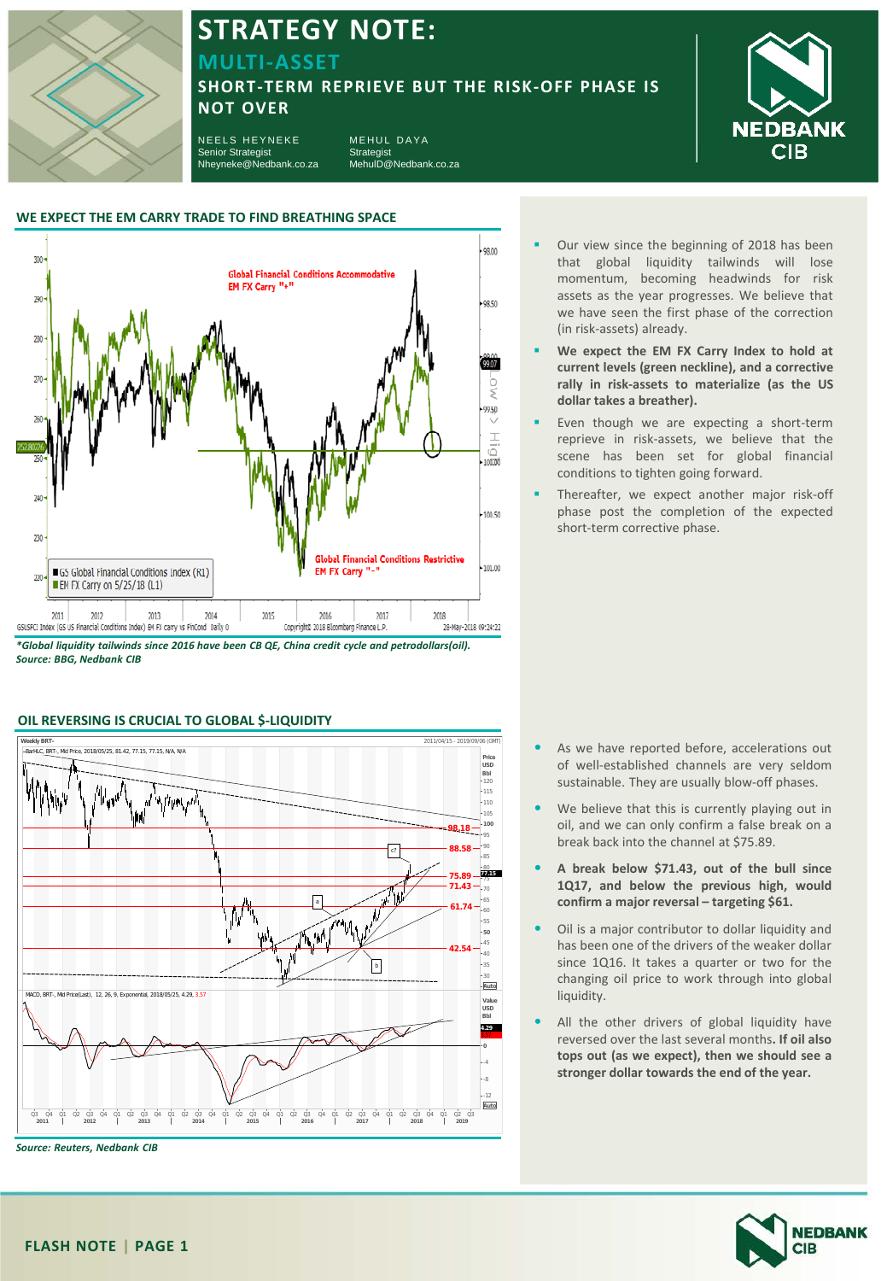

## **STRATEGY NOTE:**

**MULTI-ASSET** 

### **SHORT-TERM REPRIEVE BUT THE RISK-OFF PHASE IS NOT OVER**

NEELS HEYNEKE Senior Strategist Nheyneke@Nedbank.co.za MEHUL DAYA Strategist MehulD@Nedbank.co.za



#### **WE EXPECT THE EM CARRY TRADE TO FIND BREATHING SPACE**



*\*Global liquidity tailwinds since 2016 have been CB QE, China credit cycle and petrodollars(oil). Source: BBG, Nedbank CIB*



#### **OIL REVERSING IS CRUCIAL TO GLOBAL \$-LIQUIDITY**

- Our view since the beginning of 2018 has been that global liquidity tailwinds will lose momentum, becoming headwinds for risk assets as the year progresses. We believe that we have seen the first phase of the correction (in risk-assets) already.
- **We expect the EM FX Carry Index to hold at current levels (green neckline), and a corrective rally in risk-assets to materialize (as the US dollar takes a breather).**
- Even though we are expecting a short-term reprieve in risk-assets, we believe that the scene has been set for global financial conditions to tighten going forward.
- Thereafter, we expect another major risk-off phase post the completion of the expected short-term corrective phase.

- As we have reported before, accelerations out of well-established channels are very seldom sustainable. They are usually blow-off phases.
- We believe that this is currently playing out in oil, and we can only confirm a false break on a break back into the channel at \$75.89.
- **A break below \$71.43, out of the bull since 1Q17, and below the previous high, would confirm a major reversal – targeting \$61.**
- Oil is a major contributor to dollar liquidity and has been one of the drivers of the weaker dollar since 1Q16. It takes a quarter or two for the changing oil price to work through into global liquidity.
- All the other drivers of global liquidity have reversed over the last several months**. If oil also tops out (as we expect), then we should see a stronger dollar towards the end of the year.**

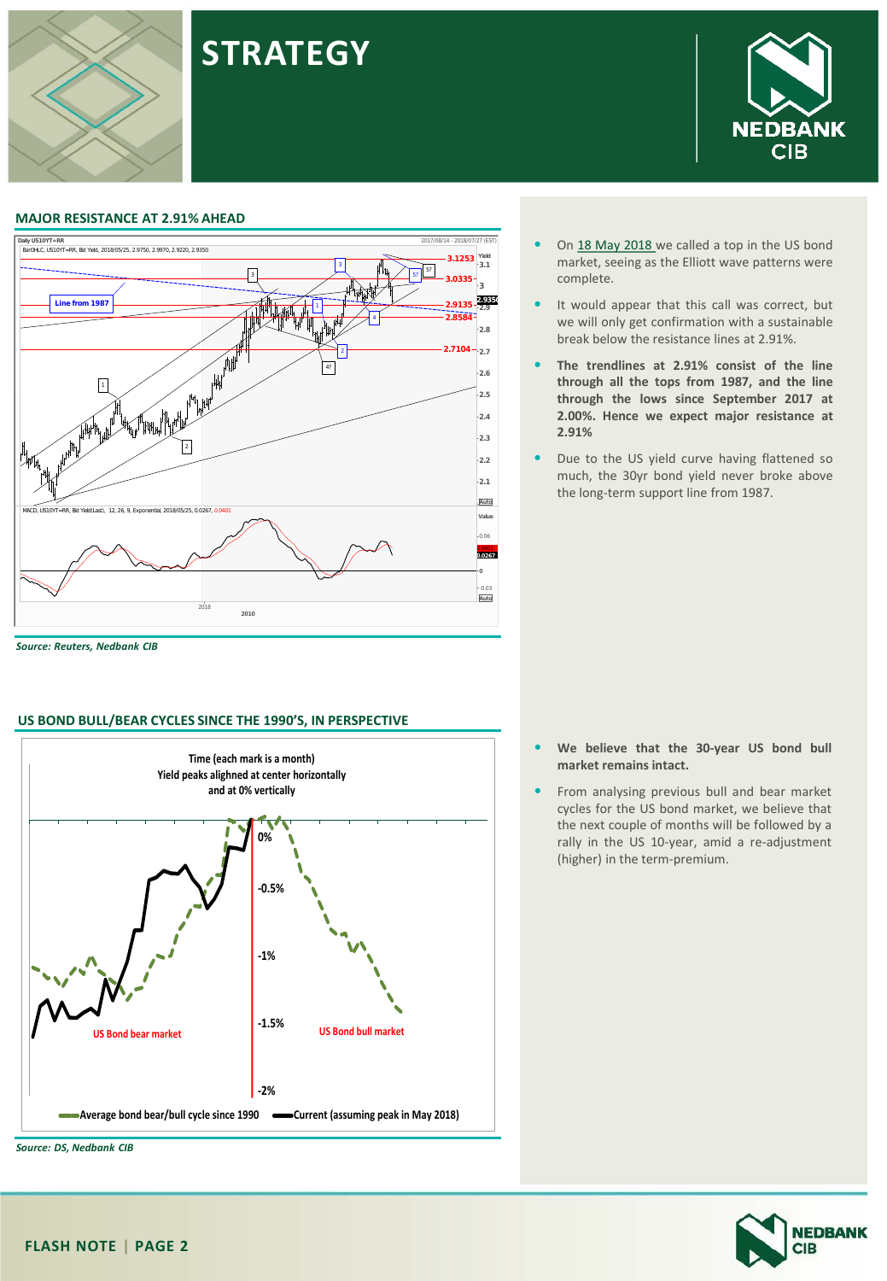



**STRATEGY**

*Source: Reuters, Nedbank CIB*

#### **US BOND BULL/BEAR CYCLES SINCE THE 1990'S, IN PERSPECTIVE**



**NEDBANK CIB** 

- On 18 May [2018](https://www.nedbank.co.za/content/dam/nedbank-crp/reports/Strategy/NeelsAndMehul/2018/StrategyNote_180518.pdf) we called a top in the US bond market, seeing as the Elliott wave patterns were complete.
- It would appear that this call was correct, but we will only get confirmation with a sustainable break below the resistance lines at 2.91%.
- **The trendlines at 2.91% consist of the line through all the tops from 1987, and the line through the lows since September 2017 at 2.00%. Hence we expect major resistance at 2.91%**
- Due to the US yield curve having flattened so much, the 30yr bond yield never broke above the long-term support line from 1987.

- **We believe that the 30-year US bond bull market remains intact.**
- From analysing previous bull and bear market cycles for the US bond market, we believe that the next couple of months will be followed by a rally in the US 10-year, amid a re-adjustment (higher) in the term-premium.

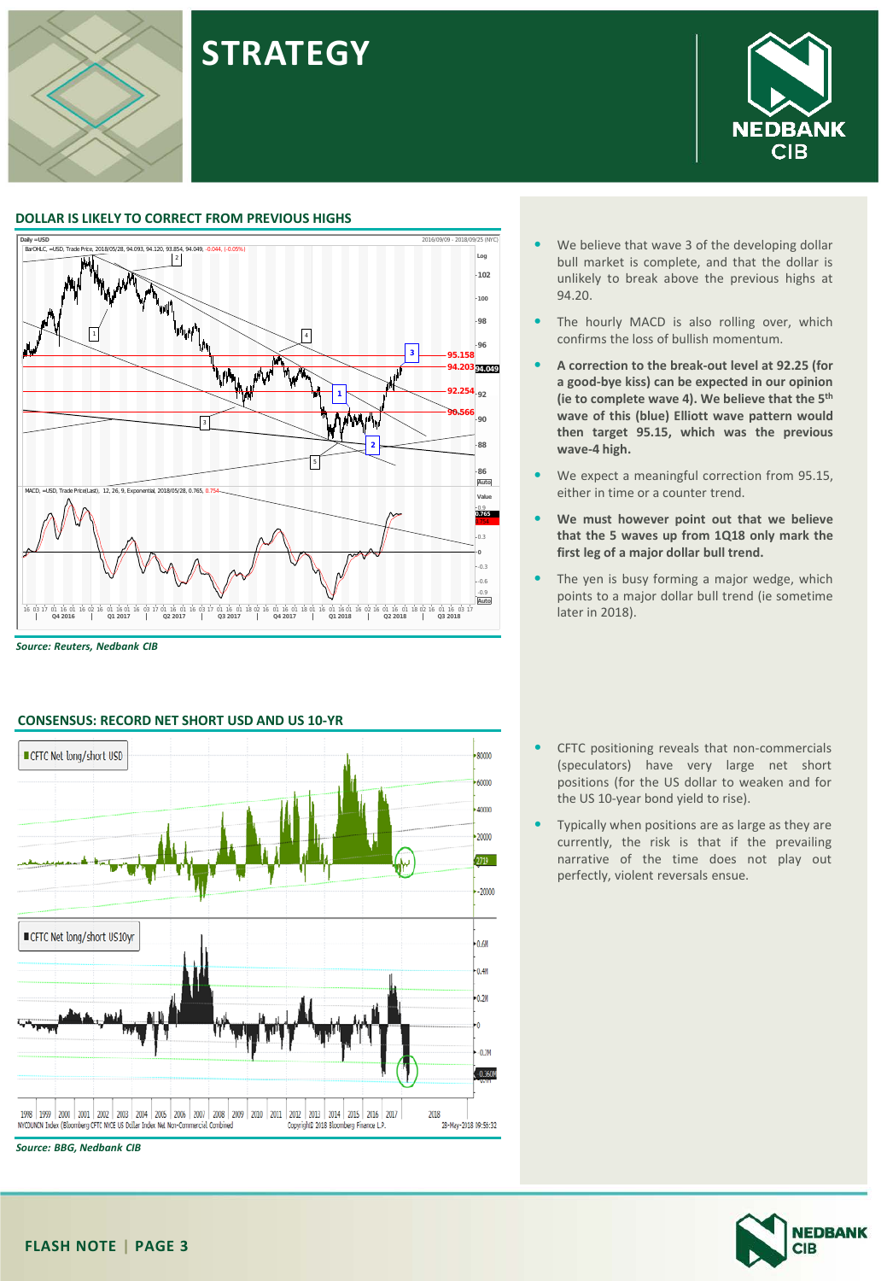

#### **DOLLAR IS LIKELY TO CORRECT FROM PREVIOUS HIGHS**



**STRATEGY**

*Source: Reuters, Nedbank CIB*



#### **CONSENSUS: RECORD NET SHORT USD AND US 10-YR**

- We believe that wave 3 of the developing dollar bull market is complete, and that the dollar is unlikely to break above the previous highs at 94.20.
- The hourly MACD is also rolling over, which confirms the loss of bullish momentum.
- **A correction to the break-out level at 92.25 (for a good-bye kiss) can be expected in our opinion (ie to complete wave 4). We believe that the 5th wave of this (blue) Elliott wave pattern would then target 95.15, which was the previous wave-4 high.**
- We expect a meaningful correction from 95.15, either in time or a counter trend.
- **We must however point out that we believe that the 5 waves up from 1Q18 only mark the first leg of a major dollar bull trend.**
- The yen is busy forming a major wedge, which points to a major dollar bull trend (ie sometime later in 2018).
- CFTC positioning reveals that non-commercials (speculators) have very large net short positions (for the US dollar to weaken and for the US 10-year bond yield to rise).
- Typically when positions are as large as they are currently, the risk is that if the prevailing narrative of the time does not play out perfectly, violent reversals ensue.